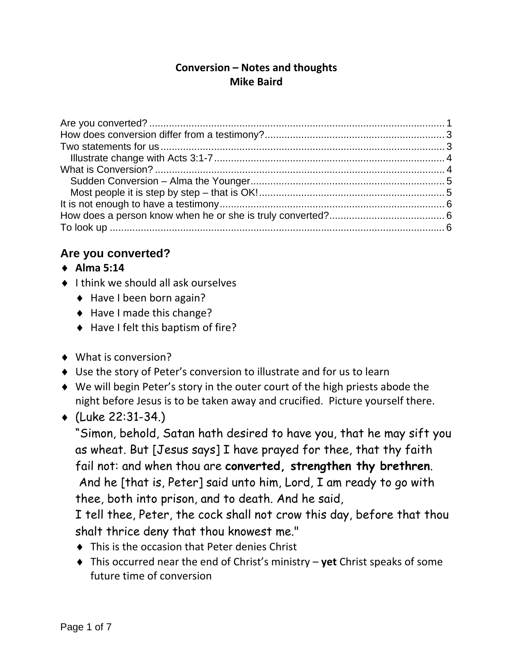#### **Conversion – Notes and thoughts Mike Baird**

### **Are you converted?**

- **Alma 5:14**
- $\bullet$  I think we should all ask ourselves
	- ◆ Have I been born again?
	- ◆ Have I made this change?
	- ◆ Have I felt this baptism of fire?
- ◆ What is conversion?
- Use the story of Peter's conversion to illustrate and for us to learn
- We will begin Peter's story in the outer court of the high priests abode the night before Jesus is to be taken away and crucified. Picture yourself there.
- $(Luke 22:31-34)$

"Simon, behold, Satan hath desired to have you, that he may sift you as wheat. But [Jesus says] I have prayed for thee, that thy faith fail not: and when thou are **converted, strengthen thy brethren**. And he [that is, Peter] said unto him, Lord, I am ready to go with thee, both into prison, and to death. And he said,

I tell thee, Peter, the cock shall not crow this day, before that thou shalt thrice deny that thou knowest me."

- ◆ This is the occasion that Peter denies Christ
- This occurred near the end of Christ's ministry **yet** Christ speaks of some future time of conversion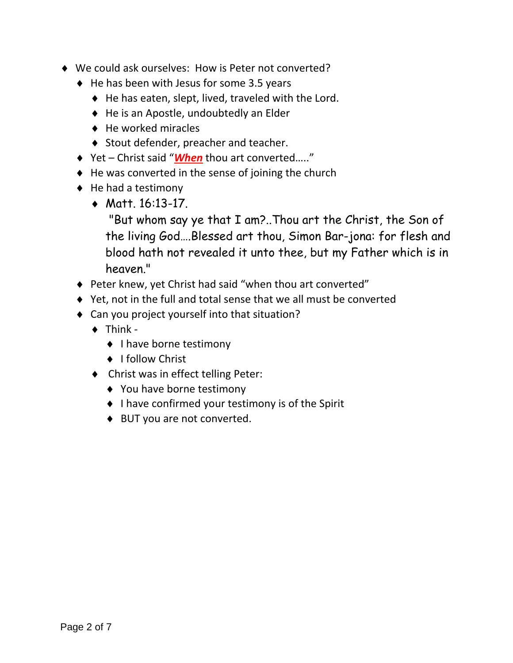- We could ask ourselves: How is Peter not converted?
	- $\triangleleft$  He has been with Jesus for some 3.5 years
		- $\blacklozenge$  He has eaten, slept, lived, traveled with the Lord.
		- ◆ He is an Apostle, undoubtedly an Elder
		- $\triangleleft$  He worked miracles
		- ◆ Stout defender, preacher and teacher.
	- ◆ Yet Christ said "*When* thou art converted....."
	- $\triangle$  He was converted in the sense of joining the church
	- $\triangleleft$  He had a testimony
		- Matt. 16:13-17.

 "But whom say ye that I am?..Thou art the Christ, the Son of the living God….Blessed art thou, Simon Bar-jona: for flesh and blood hath not revealed it unto thee, but my Father which is in heaven."

- Peter knew, yet Christ had said "when thou art converted"
- Yet, not in the full and total sense that we all must be converted
- Can you project yourself into that situation?
	- $\triangleleft$  Think -
		- ◆ I have borne testimony
		- ◆ I follow Christ
	- ◆ Christ was in effect telling Peter:
		- ◆ You have borne testimony
		- ◆ I have confirmed your testimony is of the Spirit
		- ◆ BUT you are not converted.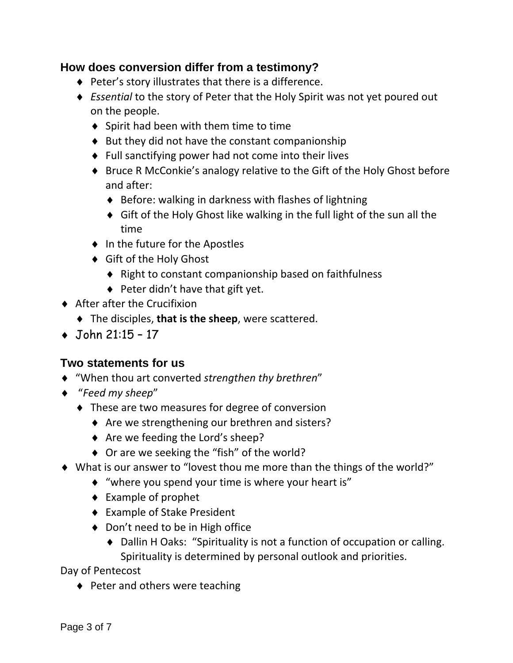#### **How does conversion differ from a testimony?**

- ◆ Peter's story illustrates that there is a difference.
- *Essential* to the story of Peter that the Holy Spirit was not yet poured out on the people.
	- $\bullet$  Spirit had been with them time to time
	- $\bullet$  But they did not have the constant companionship
	- Full sanctifying power had not come into their lives
	- ◆ Bruce R McConkie's analogy relative to the Gift of the Holy Ghost before and after:
		- ◆ Before: walking in darkness with flashes of lightning
		- Gift of the Holy Ghost like walking in the full light of the sun all the time
	- ◆ In the future for the Apostles
	- ◆ Gift of the Holy Ghost
		- ◆ Right to constant companionship based on faithfulness
		- $\blacklozenge$  Peter didn't have that gift yet.
- ◆ After after the Crucifixion
	- The disciples, **that is the sheep**, were scattered.
- $\bullet$  John 21:15 17

# **Two statements for us**

- "When thou art converted *strengthen thy brethren*"
- "*Feed my sheep*"
	- $\triangle$  These are two measures for degree of conversion
		- ◆ Are we strengthening our brethren and sisters?
		- ◆ Are we feeding the Lord's sheep?
		- ◆ Or are we seeking the "fish" of the world?
- What is our answer to "lovest thou me more than the things of the world?"
	- "where you spend your time is where your heart is"
	- ◆ Example of prophet
	- Example of Stake President
	- ◆ Don't need to be in High office
		- ◆ Dallin H Oaks: "Spirituality is not a function of occupation or calling. Spirituality is determined by personal outlook and priorities.

Day of Pentecost

 $\triangle$  Peter and others were teaching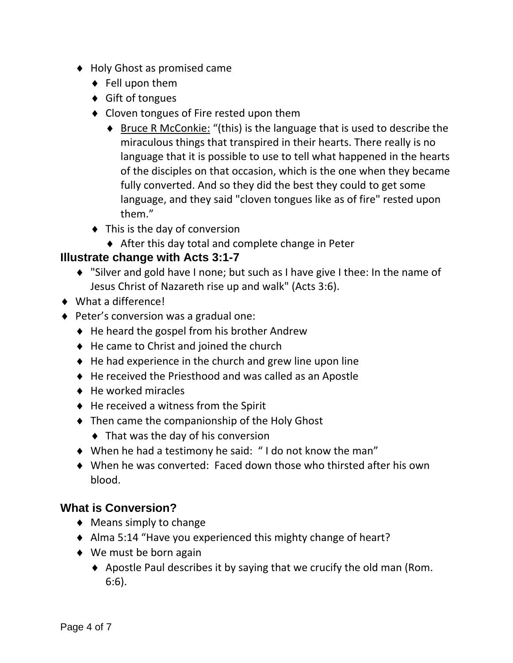- ◆ Holy Ghost as promised came
	- ◆ Fell upon them
	- ◆ Gift of tongues
	- ◆ Cloven tongues of Fire rested upon them
		- ◆ Bruce R McConkie: "(this) is the language that is used to describe the miraculous things that transpired in their hearts. There really is no language that it is possible to use to tell what happened in the hearts of the disciples on that occasion, which is the one when they became fully converted. And so they did the best they could to get some language, and they said "cloven tongues like as of fire" rested upon them."
	- ◆ This is the day of conversion
		- After this day total and complete change in Peter

#### **Illustrate change with Acts 3:1-7**

- "Silver and gold have I none; but such as I have give I thee: In the name of Jesus Christ of Nazareth rise up and walk" (Acts 3:6).
- ◆ What a difference!
- ◆ Peter's conversion was a gradual one:
	- $\triangleq$  He heard the gospel from his brother Andrew
	- ◆ He came to Christ and joined the church
	- $\triangle$  He had experience in the church and grew line upon line
	- ◆ He received the Priesthood and was called as an Apostle
	- $\leftrightarrow$  He worked miracles
	- $\triangleleft$  He received a witness from the Spirit
	- ◆ Then came the companionship of the Holy Ghost
		- $\blacklozenge$  That was the day of his conversion
	- When he had a testimony he said: " I do not know the man"
	- When he was converted: Faced down those who thirsted after his own blood.

#### **What is Conversion?**

- $\blacklozenge$  Means simply to change
- Alma 5:14 "Have you experienced this mighty change of heart?
- ◆ We must be born again
	- $\blacklozenge$  Apostle Paul describes it by saying that we crucify the old man (Rom. 6:6).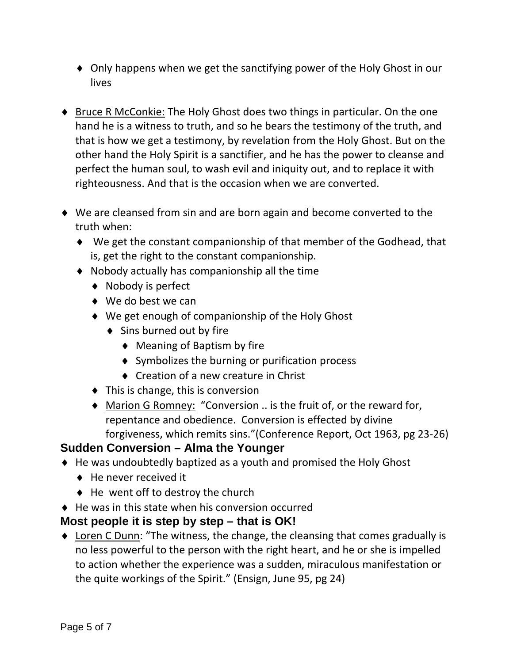- Only happens when we get the sanctifying power of the Holy Ghost in our lives
- ◆ Bruce R McConkie: The Holy Ghost does two things in particular. On the one hand he is a witness to truth, and so he bears the testimony of the truth, and that is how we get a testimony, by revelation from the Holy Ghost. But on the other hand the Holy Spirit is a sanctifier, and he has the power to cleanse and perfect the human soul, to wash evil and iniquity out, and to replace it with righteousness. And that is the occasion when we are converted.
- We are cleansed from sin and are born again and become converted to the truth when:
	- We get the constant companionship of that member of the Godhead, that is, get the right to the constant companionship.
	- Nobody actually has companionship all the time
		- ◆ Nobody is perfect
		- ◆ We do best we can
		- We get enough of companionship of the Holy Ghost
			- ◆ Sins burned out by fire
				- ◆ Meaning of Baptism by fire
				- ◆ Symbolizes the burning or purification process
				- ◆ Creation of a new creature in Christ
		- $\blacklozenge$  This is change, this is conversion
		- ◆ Marion G Romney: "Conversion .. is the fruit of, or the reward for, repentance and obedience. Conversion is effected by divine forgiveness, which remits sins."(Conference Report, Oct 1963, pg 23‐26)

# **Sudden Conversion – Alma the Younger**

- He was undoubtedly baptized as a youth and promised the Holy Ghost
	- He never received it
	- $\triangleleft$  He went off to destroy the church
- $\triangle$  He was in this state when his conversion occurred

# **Most people it is step by step – that is OK!**

 Loren C Dunn: "The witness, the change, the cleansing that comes gradually is no less powerful to the person with the right heart, and he or she is impelled to action whether the experience was a sudden, miraculous manifestation or the quite workings of the Spirit." (Ensign, June 95, pg 24)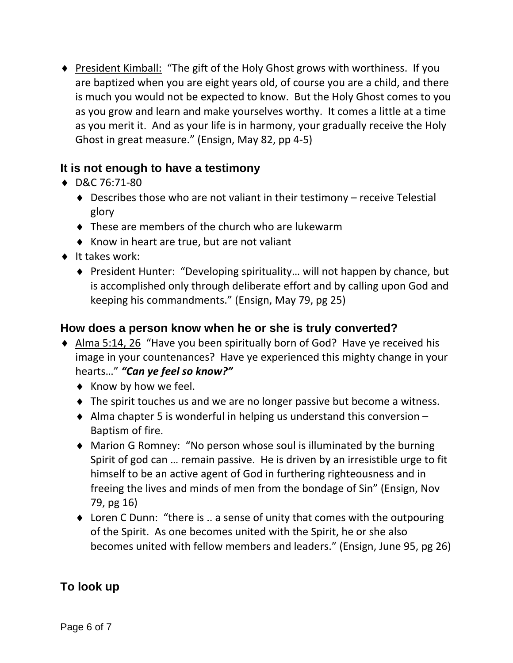◆ President Kimball: "The gift of the Holy Ghost grows with worthiness. If you are baptized when you are eight years old, of course you are a child, and there is much you would not be expected to know. But the Holy Ghost comes to you as you grow and learn and make yourselves worthy. It comes a little at a time as you merit it. And as your life is in harmony, your gradually receive the Holy Ghost in great measure." (Ensign, May 82, pp 4‐5)

#### **It is not enough to have a testimony**

- D&C 76:71‐80
	- Describes those who are not valiant in their testimony receive Telestial glory
	- ◆ These are members of the church who are lukewarm
	- $\triangle$  Know in heart are true, but are not valiant
- $\bullet$  It takes work:
	- ◆ President Hunter: "Developing spirituality... will not happen by chance, but is accomplished only through deliberate effort and by calling upon God and keeping his commandments." (Ensign, May 79, pg 25)

# **How does a person know when he or she is truly converted?**

- Alma 5:14, 26 "Have you been spiritually born of God? Have ye received his image in your countenances? Have ye experienced this mighty change in your hearts…" *"Can ye feel so know?"*
	- $\bullet$  Know by how we feel.
	- ◆ The spirit touches us and we are no longer passive but become a witness.
	- $\triangle$  Alma chapter 5 is wonderful in helping us understand this conversion  $-$ Baptism of fire.
	- Marion G Romney: "No person whose soul is illuminated by the burning Spirit of god can … remain passive. He is driven by an irresistible urge to fit himself to be an active agent of God in furthering righteousness and in freeing the lives and minds of men from the bondage of Sin" (Ensign, Nov 79, pg 16)
	- ◆ Loren C Dunn: "there is .. a sense of unity that comes with the outpouring of the Spirit. As one becomes united with the Spirit, he or she also becomes united with fellow members and leaders." (Ensign, June 95, pg 26)

# **To look up**